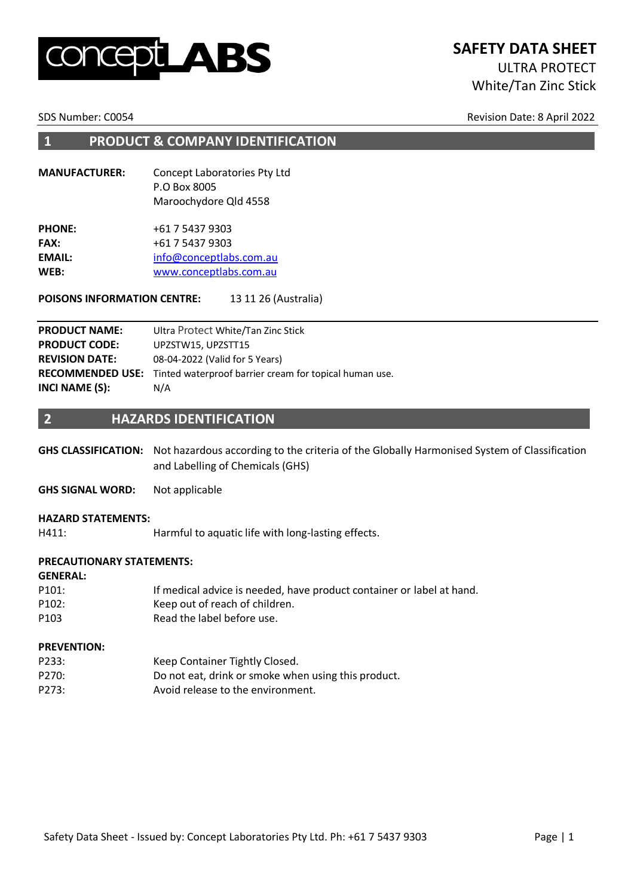# LABS

# **SAFETY DATA SHEET**

# ULTRA PROTECT White/Tan Zinc Stick

SDS Number: C0054 Revision Date: 8 April 2022

#### **1 PRODUCT & COMPANY IDENTIFICATION**

**MANUFACTURER:** Concept Laboratories Pty Ltd P.O Box 8005 Maroochydore Qld 4558

| <b>PHONE:</b> | +61 7 5437 9303         |
|---------------|-------------------------|
| <b>FAX:</b>   | +61 7 5437 9303         |
| <b>EMAIL:</b> | info@conceptlabs.com.au |
| WEB:          | www.conceptlabs.com.au  |
|               |                         |

**POISONS INFORMATION CENTRE:** 13 11 26 (Australia)

| <b>PRODUCT NAME:</b>  | Ultra Protect White/Tan Zinc Stick                                             |
|-----------------------|--------------------------------------------------------------------------------|
| <b>PRODUCT CODE:</b>  | UPZSTW15, UPZSTT15                                                             |
| <b>REVISION DATE:</b> | 08-04-2022 (Valid for 5 Years)                                                 |
|                       | <b>RECOMMENDED USE:</b> Tinted waterproof barrier cream for topical human use. |
| INCI NAME (S):        | N/A                                                                            |

#### **2 HAZARDS IDENTIFICATION**

**GHS CLASSIFICATION:** Not hazardous according to the criteria of the Globally Harmonised System of Classification and Labelling of Chemicals (GHS)

**GHS SIGNAL WORD:** Not applicable

#### **HAZARD STATEMENTS:**

H411: Harmful to aquatic life with long-lasting effects.

#### **PRECAUTIONARY STATEMENTS:**

#### **GENERAL:**

| P <sub>101</sub> : | If medical advice is needed, have product container or label at hand. |
|--------------------|-----------------------------------------------------------------------|
| P102:              | Keep out of reach of children.                                        |
| P <sub>103</sub>   | Read the label before use.                                            |

#### **PREVENTION:**

| P233: | Keep Container Tightly Closed.                      |
|-------|-----------------------------------------------------|
| P270: | Do not eat, drink or smoke when using this product. |
| P273: | Avoid release to the environment.                   |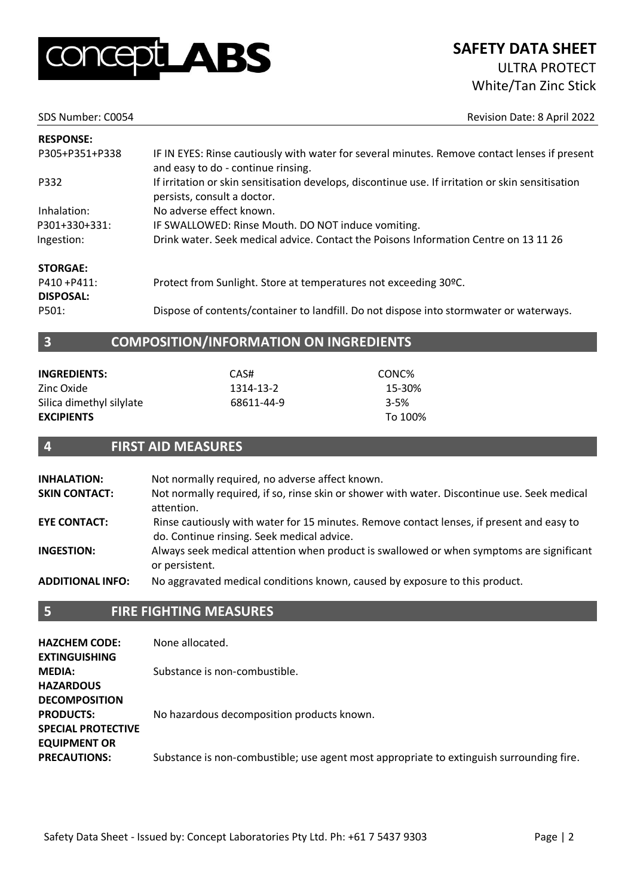

SDS Number: C0054 Revision Date: 8 April 2022

| <b>RESPONSE:</b> |                                                                                                                                     |
|------------------|-------------------------------------------------------------------------------------------------------------------------------------|
| P305+P351+P338   | IF IN EYES: Rinse cautiously with water for several minutes. Remove contact lenses if present<br>and easy to do - continue rinsing. |
| P332             | If irritation or skin sensitisation develops, discontinue use. If irritation or skin sensitisation<br>persists, consult a doctor.   |
| Inhalation:      | No adverse effect known.                                                                                                            |
| P301+330+331:    | IF SWALLOWED: Rinse Mouth. DO NOT induce vomiting.                                                                                  |
| Ingestion:       | Drink water. Seek medical advice. Contact the Poisons Information Centre on 13 11 26                                                |
| <b>STORGAE:</b>  |                                                                                                                                     |
| P410 + P411:     | Protect from Sunlight. Store at temperatures not exceeding 30°C.                                                                    |
| <b>DISPOSAL:</b> |                                                                                                                                     |
| P501:            | Dispose of contents/container to landfill. Do not dispose into stormwater or waterways.                                             |

### **3 COMPOSITION/INFORMATION ON INGREDIENTS**

| <b>INGREDIENTS:</b>      | CAS#       | CONC%    |
|--------------------------|------------|----------|
| Zinc Oxide               | 1314-13-2  | 15-30%   |
| Silica dimethyl silylate | 68611-44-9 | $3 - 5%$ |
| <b>EXCIPIENTS</b>        |            | To 100%  |
|                          |            |          |

#### **4 FIRST AID MEASURES**

| <b>INHALATION:</b>      | Not normally required, no adverse affect known.                                                                                         |
|-------------------------|-----------------------------------------------------------------------------------------------------------------------------------------|
| <b>SKIN CONTACT:</b>    | Not normally required, if so, rinse skin or shower with water. Discontinue use. Seek medical<br>attention.                              |
| <b>EYE CONTACT:</b>     | Rinse cautiously with water for 15 minutes. Remove contact lenses, if present and easy to<br>do. Continue rinsing. Seek medical advice. |
| <b>INGESTION:</b>       | Always seek medical attention when product is swallowed or when symptoms are significant<br>or persistent.                              |
| <b>ADDITIONAL INFO:</b> | No aggravated medical conditions known, caused by exposure to this product.                                                             |
|                         |                                                                                                                                         |

#### **5 FIRE FIGHTING MEASURES**

| <b>HAZCHEM CODE:</b><br><b>EXTINGUISHING</b>                                                                     | None allocated.                                                                          |
|------------------------------------------------------------------------------------------------------------------|------------------------------------------------------------------------------------------|
| <b>MEDIA:</b>                                                                                                    | Substance is non-combustible.                                                            |
| <b>HAZARDOUS</b><br><b>DECOMPOSITION</b><br><b>PRODUCTS:</b><br><b>SPECIAL PROTECTIVE</b><br><b>EQUIPMENT OR</b> | No hazardous decomposition products known.                                               |
| <b>PRECAUTIONS:</b>                                                                                              | Substance is non-combustible; use agent most appropriate to extinguish surrounding fire. |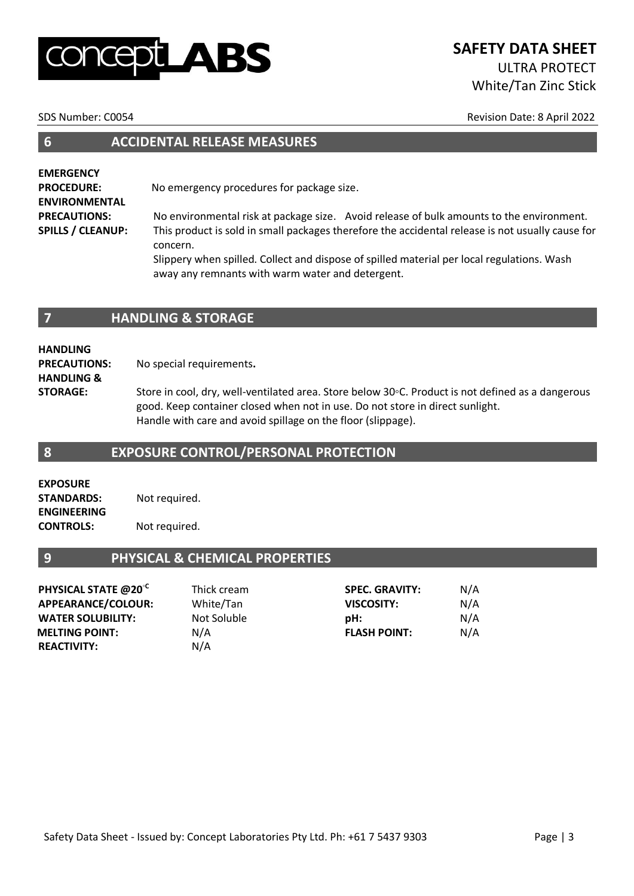# $\blacktriangle$ BS

# **SAFETY DATA SHEET** ULTRA PROTECT White/Tan Zinc Stick

SDS Number: C0054 Revision Date: 8 April 2022

| <b>ACCIDENTAL RELEASE MEASURES</b> |  |
|------------------------------------|--|
|                                    |  |

**EMERGENCY PROCEDURE:** No emergency procedures for package size. **ENVIRONMENTAL PRECAUTIONS:** No environmental risk at package size. Avoid release of bulk amounts to the environment. **SPILLS / CLEANUP:** This product is sold in small packages therefore the accidental release is not usually cause for concern.

Slippery when spilled. Collect and dispose of spilled material per local regulations. Wash away any remnants with warm water and detergent.

#### **7 HANDLING & STORAGE**

**HANDLING PRECAUTIONS:** No special requirements**. HANDLING &** 

**STORAGE:** Store in cool, dry, well-ventilated area. Store below 30◦C. Product is not defined as a dangerous good. Keep container closed when not in use. Do not store in direct sunlight. Handle with care and avoid spillage on the floor (slippage).

#### **8 EXPOSURE CONTROL/PERSONAL PROTECTION**

**EXPOSURE STANDARDS:** Not required. **ENGINEERING CONTROLS:** Not required.

## **9 PHYSICAL & CHEMICAL PROPERTIES**

| PHYSICAL STATE @20 <sup>°C</sup> | Thick cream | <b>SPEC. GRAVITY:</b> | N/A |
|----------------------------------|-------------|-----------------------|-----|
| APPEARANCE/COLOUR:               | White/Tan   | <b>VISCOSITY:</b>     | N/A |
| <b>WATER SOLUBILITY:</b>         | Not Soluble | pH:                   | N/A |
| <b>MELTING POINT:</b>            | N/A         | <b>FLASH POINT:</b>   | N/A |
| <b>REACTIVITY:</b>               | N/A         |                       |     |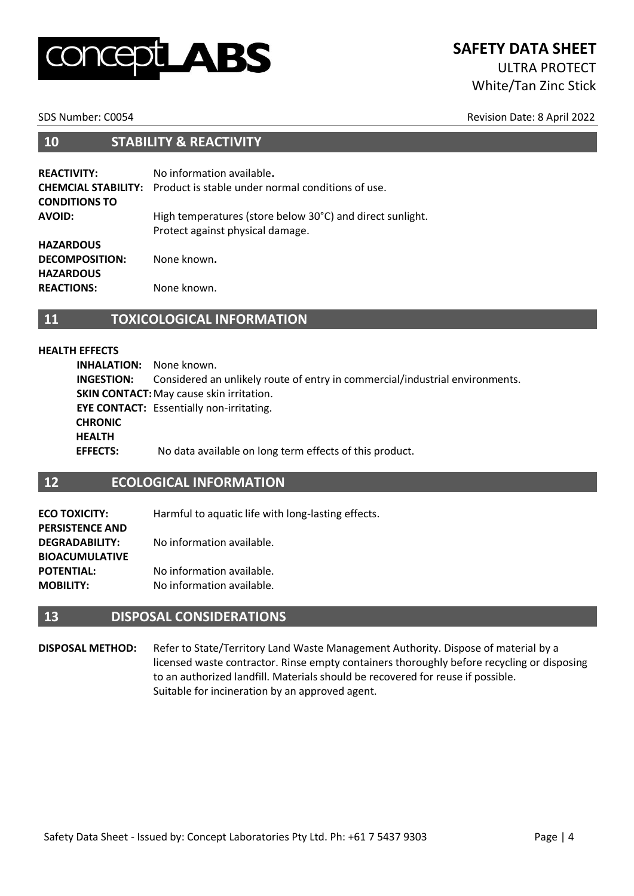# $\blacktriangle$ BS

### **SAFETY DATA SHEET** ULTRA PROTECT

White/Tan Zinc Stick

SDS Number: C0054 Revision Date: 8 April 2022

#### **10 STABILITY & REACTIVITY**

| <b>REACTIVITY:</b><br><b>CONDITIONS TO</b> | No information available.<br><b>CHEMCIAL STABILITY:</b> Product is stable under normal conditions of use. |
|--------------------------------------------|-----------------------------------------------------------------------------------------------------------|
| <b>AVOID:</b>                              | High temperatures (store below 30°C) and direct sunlight.<br>Protect against physical damage.             |
| <b>HAZARDOUS</b>                           |                                                                                                           |
| <b>DECOMPOSITION:</b>                      | None known.                                                                                               |
| <b>HAZARDOUS</b>                           |                                                                                                           |
| <b>REACTIONS:</b>                          | None known.                                                                                               |

#### **11 TOXICOLOGICAL INFORMATION**

#### **HEALTH EFFECTS**

**INHALATION:** None known. **INGESTION:** Considered an unlikely route of entry in commercial/industrial environments. **SKIN CONTACT:** May cause skin irritation. **EYE CONTACT:** Essentially non-irritating. **CHRONIC HEALTH EFFECTS:** No data available on long term effects of this product.

#### **12 ECOLOGICAL INFORMATION**

| Harmful to aquatic life with long-lasting effects. |
|----------------------------------------------------|
|                                                    |
| No information available.                          |
|                                                    |
| No information available.                          |
| No information available.                          |
|                                                    |

#### **13 DISPOSAL CONSIDERATIONS**

**DISPOSAL METHOD:** Refer to State/Territory Land Waste Management Authority. Dispose of material by a licensed waste contractor. Rinse empty containers thoroughly before recycling or disposing to an authorized landfill. Materials should be recovered for reuse if possible. Suitable for incineration by an approved agent.